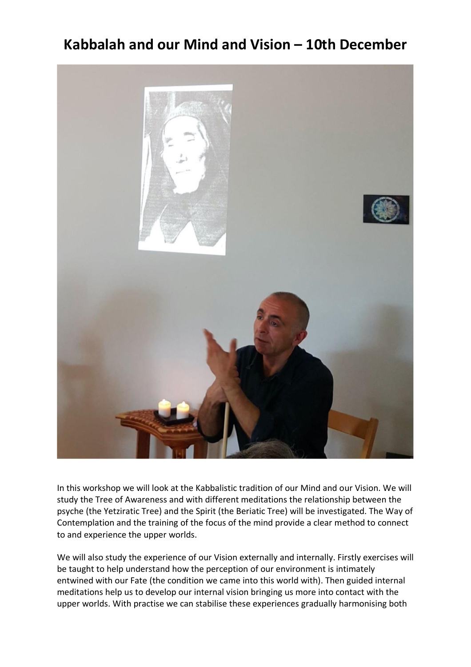## **Kabbalah and our Mind and Vision – 10th December**



In this workshop we will look at the Kabbalistic tradition of our Mind and our Vision. We will study the Tree of Awareness and with different meditations the relationship between the psyche (the Yetziratic Tree) and the Spirit (the Beriatic Tree) will be investigated. The Way of Contemplation and the training of the focus of the mind provide a clear method to connect to and experience the upper worlds.

We will also study the experience of our Vision externally and internally. Firstly exercises will be taught to help understand how the perception of our environment is intimately entwined with our Fate (the condition we came into this world with). Then guided internal meditations help us to develop our internal vision bringing us more into contact with the upper worlds. With practise we can stabilise these experiences gradually harmonising both